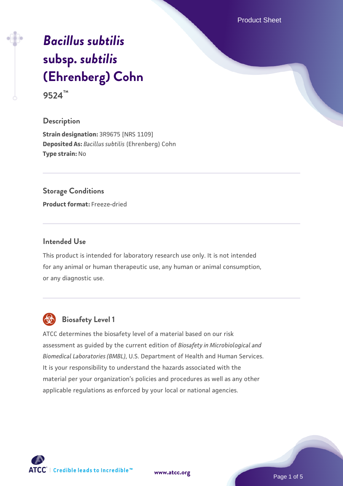Product Sheet

# *[Bacillus subtilis](https://www.atcc.org/products/9524)* **[subsp.](https://www.atcc.org/products/9524)** *[subtilis](https://www.atcc.org/products/9524)* **[\(Ehrenberg\) Cohn](https://www.atcc.org/products/9524) 9524™**

# **Description**

**Strain designation:** 3R9675 [NRS 1109] **Deposited As:** *Bacillus subtilis* (Ehrenberg) Cohn **Type strain:** No

#### **Storage Conditions**

**Product format:** Freeze-dried

# **Intended Use**

This product is intended for laboratory research use only. It is not intended for any animal or human therapeutic use, any human or animal consumption, or any diagnostic use.



# **Biosafety Level 1**

ATCC determines the biosafety level of a material based on our risk assessment as guided by the current edition of *Biosafety in Microbiological and Biomedical Laboratories (BMBL)*, U.S. Department of Health and Human Services. It is your responsibility to understand the hazards associated with the material per your organization's policies and procedures as well as any other applicable regulations as enforced by your local or national agencies.

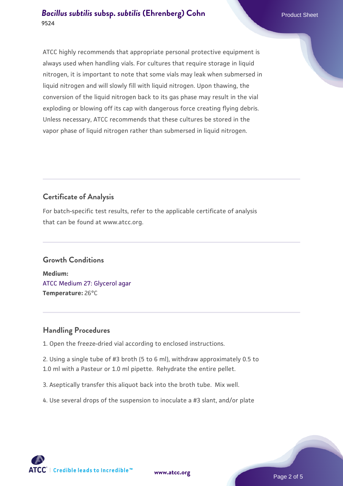# **[Bacillus subtilis](https://www.atcc.org/products/9524) [subsp.](https://www.atcc.org/products/9524) [subtilis](https://www.atcc.org/products/9524) [\(Ehrenberg\) Cohn](https://www.atcc.org/products/9524)** Product Sheet **9524**

ATCC highly recommends that appropriate personal protective equipment is always used when handling vials. For cultures that require storage in liquid nitrogen, it is important to note that some vials may leak when submersed in liquid nitrogen and will slowly fill with liquid nitrogen. Upon thawing, the conversion of the liquid nitrogen back to its gas phase may result in the vial exploding or blowing off its cap with dangerous force creating flying debris. Unless necessary, ATCC recommends that these cultures be stored in the vapor phase of liquid nitrogen rather than submersed in liquid nitrogen.

# **Certificate of Analysis**

For batch-specific test results, refer to the applicable certificate of analysis that can be found at www.atcc.org.

# **Growth Conditions**

**Medium:**  [ATCC Medium 27: Glycerol agar](https://www.atcc.org/-/media/product-assets/documents/microbial-media-formulations/2/7/atcc-medium-27.pdf?rev=1a71c7e8f84e42ee9d278056267feb33) **Temperature:** 26°C

# **Handling Procedures**

1. Open the freeze-dried vial according to enclosed instructions.

2. Using a single tube of #3 broth (5 to 6 ml), withdraw approximately 0.5 to 1.0 ml with a Pasteur or 1.0 ml pipette. Rehydrate the entire pellet.

3. Aseptically transfer this aliquot back into the broth tube. Mix well.

4. Use several drops of the suspension to inoculate a #3 slant, and/or plate

**[www.atcc.org](http://www.atcc.org)**

Page 2 of 5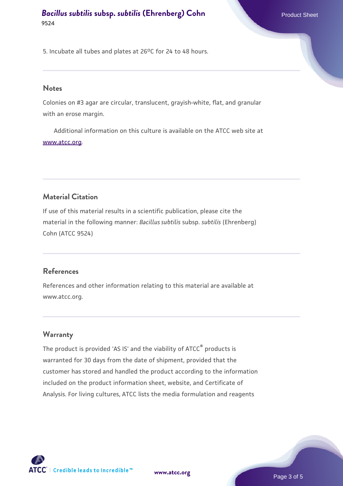**[Bacillus subtilis](https://www.atcc.org/products/9524) [subsp.](https://www.atcc.org/products/9524) [subtilis](https://www.atcc.org/products/9524) [\(Ehrenberg\) Cohn](https://www.atcc.org/products/9524)** Product Sheet **9524**

5. Incubate all tubes and plates at 26°C for 24 to 48 hours.

#### **Notes**

Colonies on #3 agar are circular, translucent, grayish-white, flat, and granular with an erose margin.

 Additional information on this culture is available on the ATCC web site at [www.atcc.org.](http://www.atcc.org/)

# **Material Citation**

If use of this material results in a scientific publication, please cite the material in the following manner: *Bacillus subtilis* subsp. *subtilis* (Ehrenberg) Cohn (ATCC 9524)

#### **References**

References and other information relating to this material are available at www.atcc.org.

#### **Warranty**

The product is provided 'AS IS' and the viability of ATCC® products is warranted for 30 days from the date of shipment, provided that the customer has stored and handled the product according to the information included on the product information sheet, website, and Certificate of Analysis. For living cultures, ATCC lists the media formulation and reagents

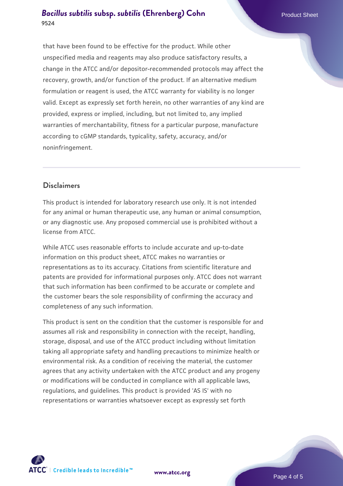# **[Bacillus subtilis](https://www.atcc.org/products/9524) [subsp.](https://www.atcc.org/products/9524) [subtilis](https://www.atcc.org/products/9524) [\(Ehrenberg\) Cohn](https://www.atcc.org/products/9524)** Product Sheet **9524**

that have been found to be effective for the product. While other unspecified media and reagents may also produce satisfactory results, a change in the ATCC and/or depositor-recommended protocols may affect the recovery, growth, and/or function of the product. If an alternative medium formulation or reagent is used, the ATCC warranty for viability is no longer valid. Except as expressly set forth herein, no other warranties of any kind are provided, express or implied, including, but not limited to, any implied warranties of merchantability, fitness for a particular purpose, manufacture according to cGMP standards, typicality, safety, accuracy, and/or noninfringement.

# **Disclaimers**

This product is intended for laboratory research use only. It is not intended for any animal or human therapeutic use, any human or animal consumption, or any diagnostic use. Any proposed commercial use is prohibited without a license from ATCC.

While ATCC uses reasonable efforts to include accurate and up-to-date information on this product sheet, ATCC makes no warranties or representations as to its accuracy. Citations from scientific literature and patents are provided for informational purposes only. ATCC does not warrant that such information has been confirmed to be accurate or complete and the customer bears the sole responsibility of confirming the accuracy and completeness of any such information.

This product is sent on the condition that the customer is responsible for and assumes all risk and responsibility in connection with the receipt, handling, storage, disposal, and use of the ATCC product including without limitation taking all appropriate safety and handling precautions to minimize health or environmental risk. As a condition of receiving the material, the customer agrees that any activity undertaken with the ATCC product and any progeny or modifications will be conducted in compliance with all applicable laws, regulations, and guidelines. This product is provided 'AS IS' with no representations or warranties whatsoever except as expressly set forth



**[www.atcc.org](http://www.atcc.org)**

Page 4 of 5